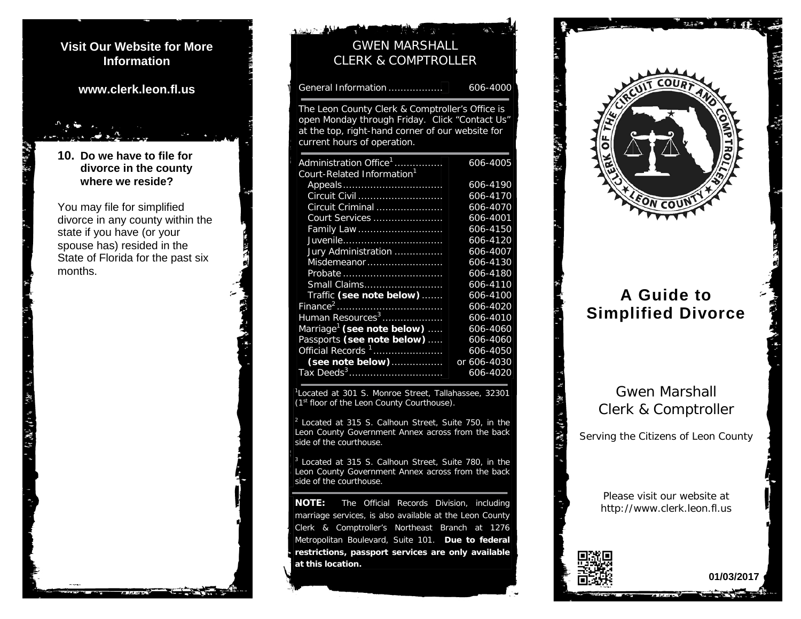

# GWEN MARSHALL CLERK & COMPTROLLER

General Information .................. 606-4000

*The Leon County Clerk & Comptroller's Office is open Monday through Friday. Click "Contact Us" at the top, right-hand corner of our website for current hours of operation.*

| Administration Office <sup>1</sup>     | 606-4005    |
|----------------------------------------|-------------|
| Court-Related Information <sup>1</sup> |             |
| Appeals                                | 606-4190    |
| Circuit Civil                          | 606-4170    |
| Circuit Criminal                       | 606-4070    |
| Court Services                         | 606-4001    |
|                                        | 606-4150    |
| Juvenile <del></del>                   | 606-4120    |
| Jury Administration                    | 606-4007    |
| Misdemeanor                            | 606-4130    |
|                                        | 606-4180    |
| Small Claims                           | 606-4110    |
| Traffic (see note below) !             | 606-4100    |
|                                        | 606-4020    |
| Human Resources <sup>3</sup>           | 606-4010    |
| Marriage <sup>1</sup> (see note below) | 606-4060    |
| Passports (see note below) !           | 606-4060    |
| Official Records <sup>1</sup>          | 606-4050    |
| $($ see note below $)$                 | or 606-4030 |
|                                        | 606-4020    |

<sup>1</sup>Located at 301 S. Monroe Street, Tallahassee, 32301 (1<sup>st</sup> floor of the Leon County Courthouse).

 $2$  Located at 315 S. Calhoun Street, Suite 750, in the Leon County Government Annex across from the back side of the courthouse.

 $3$  Located at 315 S. Calhoun Street, Suite 780, in the Leon County Government Annex across from the back side of the courthouse.

**NOTE:** The Official Records Division, including marriage services, is also available at the Leon County Clerk & Comptroller's Northeast Branch at 1276 Metropolitan Boulevard, Suite 101. **Due to federal restrictions, passport services are only available at this location.** 



# **A Guide to Simplified Divorce**

Gwen Marshall Clerk & Comptroller

*Serving the Citizens of Leon County*

Please visit our website at http://www.clerk.leon.fl.us

**01/03/2017**